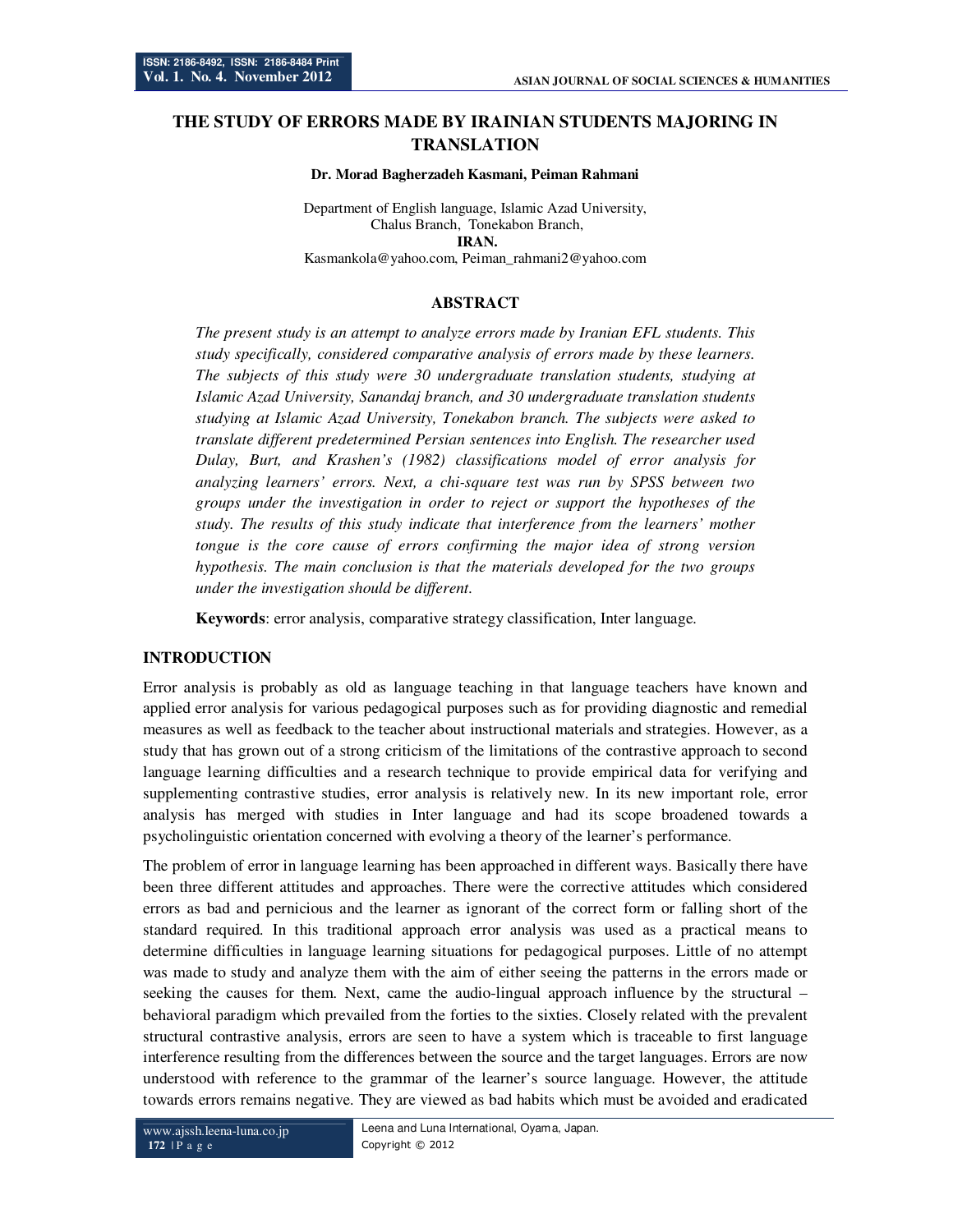# **THE STUDY OF ERRORS MADE BY IRAINIAN STUDENTS MAJORING IN TRANSLATION**

#### **Dr. Morad Bagherzadeh Kasmani, Peiman Rahmani**

Department of English language, Islamic Azad University, Chalus Branch, Tonekabon Branch, **IRAN.**

Kasmankola@yahoo.com, Peiman\_rahmani2@yahoo.com

# **ABSTRACT**

*The present study is an attempt to analyze errors made by Iranian EFL students. This study specifically, considered comparative analysis of errors made by these learners. The subjects of this study were 30 undergraduate translation students, studying at Islamic Azad University, Sanandaj branch, and 30 undergraduate translation students studying at Islamic Azad University, Tonekabon branch. The subjects were asked to translate different predetermined Persian sentences into English. The researcher used Dulay, Burt, and Krashen's (1982) classifications model of error analysis for analyzing learners' errors. Next, a chi-square test was run by SPSS between two groups under the investigation in order to reject or support the hypotheses of the study. The results of this study indicate that interference from the learners' mother tongue is the core cause of errors confirming the major idea of strong version hypothesis. The main conclusion is that the materials developed for the two groups under the investigation should be different.* 

**Keywords**: error analysis, comparative strategy classification, Inter language.

#### **INTRODUCTION**

Error analysis is probably as old as language teaching in that language teachers have known and applied error analysis for various pedagogical purposes such as for providing diagnostic and remedial measures as well as feedback to the teacher about instructional materials and strategies. However, as a study that has grown out of a strong criticism of the limitations of the contrastive approach to second language learning difficulties and a research technique to provide empirical data for verifying and supplementing contrastive studies, error analysis is relatively new. In its new important role, error analysis has merged with studies in Inter language and had its scope broadened towards a psycholinguistic orientation concerned with evolving a theory of the learner's performance.

The problem of error in language learning has been approached in different ways. Basically there have been three different attitudes and approaches. There were the corrective attitudes which considered errors as bad and pernicious and the learner as ignorant of the correct form or falling short of the standard required. In this traditional approach error analysis was used as a practical means to determine difficulties in language learning situations for pedagogical purposes. Little of no attempt was made to study and analyze them with the aim of either seeing the patterns in the errors made or seeking the causes for them. Next, came the audio-lingual approach influence by the structural – behavioral paradigm which prevailed from the forties to the sixties. Closely related with the prevalent structural contrastive analysis, errors are seen to have a system which is traceable to first language interference resulting from the differences between the source and the target languages. Errors are now understood with reference to the grammar of the learner's source language. However, the attitude towards errors remains negative. They are viewed as bad habits which must be avoided and eradicated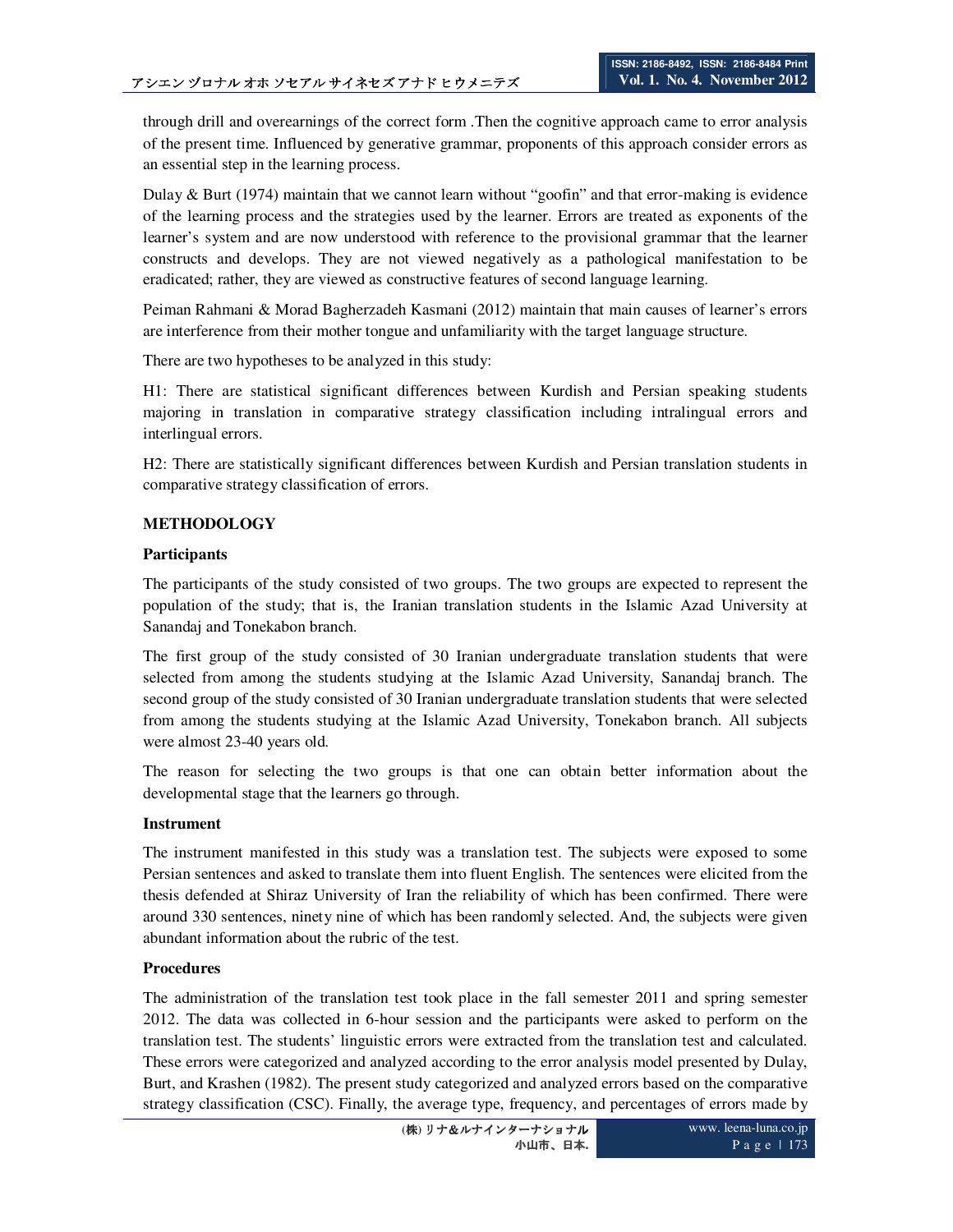through drill and overearnings of the correct form .Then the cognitive approach came to error analysis of the present time. Influenced by generative grammar, proponents of this approach consider errors as an essential step in the learning process.

Dulay & Burt (1974) maintain that we cannot learn without "goofin" and that error-making is evidence of the learning process and the strategies used by the learner. Errors are treated as exponents of the learner's system and are now understood with reference to the provisional grammar that the learner constructs and develops. They are not viewed negatively as a pathological manifestation to be eradicated; rather, they are viewed as constructive features of second language learning.

Peiman Rahmani & Morad Bagherzadeh Kasmani (2012) maintain that main causes of learner's errors are interference from their mother tongue and unfamiliarity with the target language structure.

There are two hypotheses to be analyzed in this study:

H1: There are statistical significant differences between Kurdish and Persian speaking students majoring in translation in comparative strategy classification including intralingual errors and interlingual errors.

H2: There are statistically significant differences between Kurdish and Persian translation students in comparative strategy classification of errors.

## **METHODOLOGY**

#### **Participants**

The participants of the study consisted of two groups. The two groups are expected to represent the population of the study; that is, the Iranian translation students in the Islamic Azad University at Sanandaj and Tonekabon branch.

The first group of the study consisted of 30 Iranian undergraduate translation students that were selected from among the students studying at the Islamic Azad University, Sanandaj branch. The second group of the study consisted of 30 Iranian undergraduate translation students that were selected from among the students studying at the Islamic Azad University, Tonekabon branch. All subjects were almost 23-40 years old.

The reason for selecting the two groups is that one can obtain better information about the developmental stage that the learners go through.

#### **Instrument**

The instrument manifested in this study was a translation test. The subjects were exposed to some Persian sentences and asked to translate them into fluent English. The sentences were elicited from the thesis defended at Shiraz University of Iran the reliability of which has been confirmed. There were around 330 sentences, ninety nine of which has been randomly selected. And, the subjects were given abundant information about the rubric of the test.

#### **Procedures**

The administration of the translation test took place in the fall semester 2011 and spring semester 2012. The data was collected in 6-hour session and the participants were asked to perform on the translation test. The students' linguistic errors were extracted from the translation test and calculated. These errors were categorized and analyzed according to the error analysis model presented by Dulay, Burt, and Krashen (1982). The present study categorized and analyzed errors based on the comparative strategy classification (CSC). Finally, the average type, frequency, and percentages of errors made by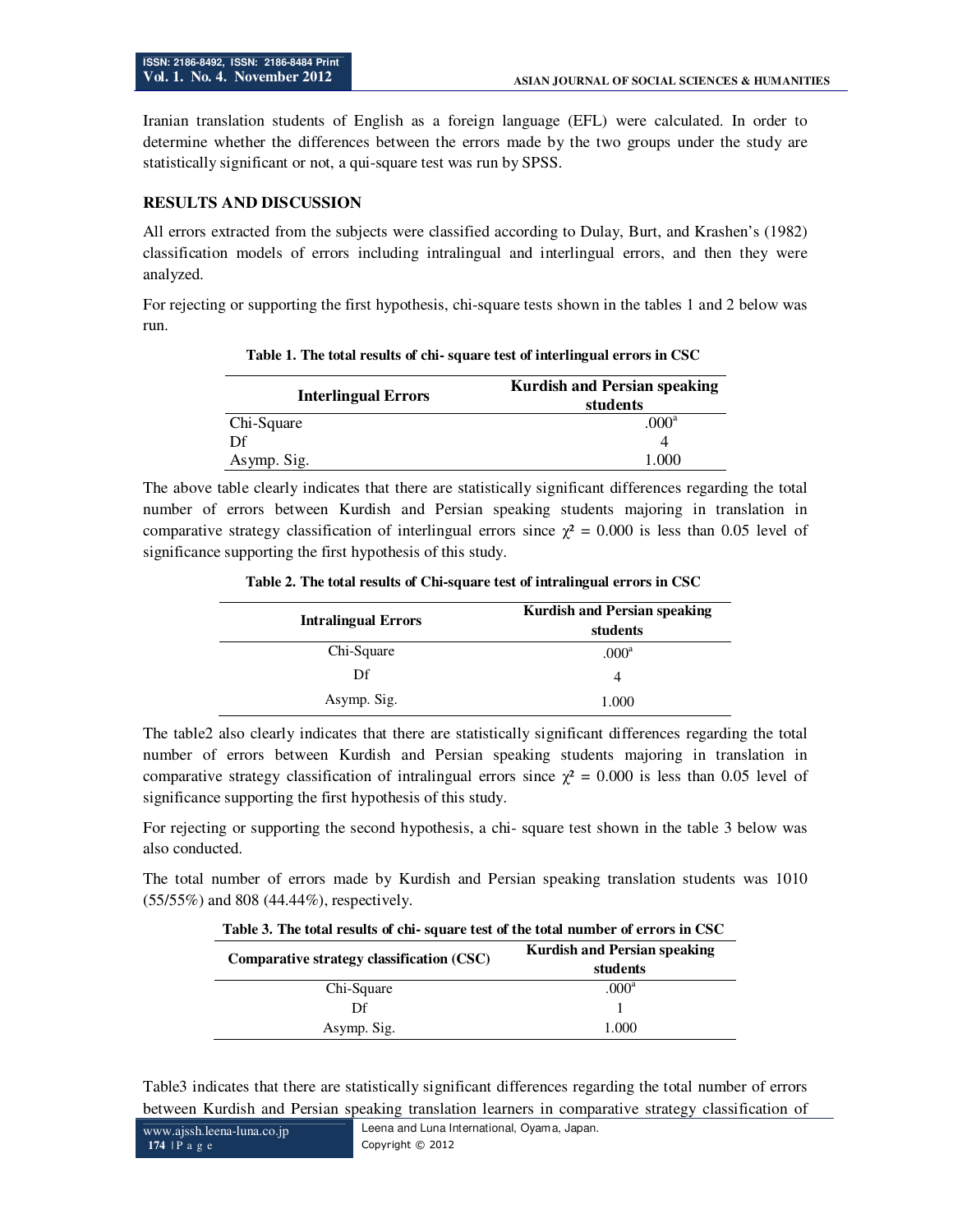Iranian translation students of English as a foreign language (EFL) were calculated. In order to determine whether the differences between the errors made by the two groups under the study are statistically significant or not, a qui-square test was run by SPSS.

#### **RESULTS AND DISCUSSION**

All errors extracted from the subjects were classified according to Dulay, Burt, and Krashen's (1982) classification models of errors including intralingual and interlingual errors, and then they were analyzed.

For rejecting or supporting the first hypothesis, chi-square tests shown in the tables 1 and 2 below was run.

| <b>Interlingual Errors</b> | <b>Kurdish and Persian speaking</b><br>students |
|----------------------------|-------------------------------------------------|
| Chi-Square                 | .000 <sup>a</sup>                               |
|                            |                                                 |
| Asymp. Sig.                | L 000                                           |

**Table 1. The total results of chi- square test of interlingual errors in CSC** 

The above table clearly indicates that there are statistically significant differences regarding the total number of errors between Kurdish and Persian speaking students majoring in translation in comparative strategy classification of interlingual errors since  $\chi^2 = 0.000$  is less than 0.05 level of significance supporting the first hypothesis of this study.

| <b>Intralingual Errors</b> | <b>Kurdish and Persian speaking</b><br>students |
|----------------------------|-------------------------------------------------|
| Chi-Square                 | .000 <sup>a</sup>                               |
| Df                         | 4                                               |
| Asymp. Sig.                | 1.000                                           |

**Table 2. The total results of Chi-square test of intralingual errors in CSC** 

The table2 also clearly indicates that there are statistically significant differences regarding the total number of errors between Kurdish and Persian speaking students majoring in translation in comparative strategy classification of intralingual errors since  $\chi^2 = 0.000$  is less than 0.05 level of significance supporting the first hypothesis of this study.

For rejecting or supporting the second hypothesis, a chi- square test shown in the table 3 below was also conducted.

The total number of errors made by Kurdish and Persian speaking translation students was 1010 (55/55%) and 808 (44.44%), respectively.

| Comparative strategy classification (CSC) | <b>Kurdish and Persian speaking</b><br>students |
|-------------------------------------------|-------------------------------------------------|
| Chi-Square                                | .000 <sup>a</sup>                               |
| Df                                        |                                                 |
| Asymp. Sig.                               | 1.000                                           |

Table3 indicates that there are statistically significant differences regarding the total number of errors between Kurdish and Persian speaking translation learners in comparative strategy classification of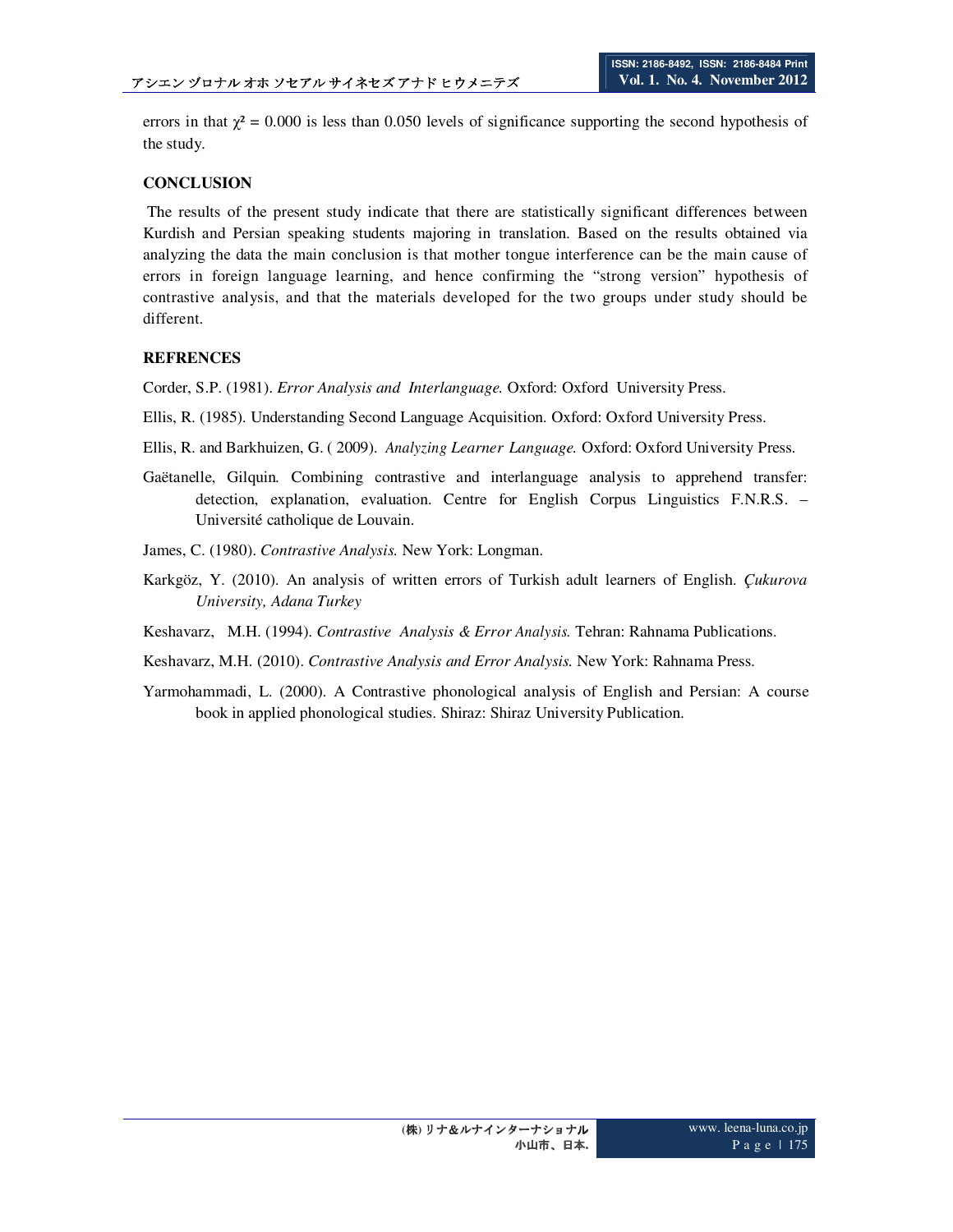errors in that  $\gamma^2 = 0.000$  is less than 0.050 levels of significance supporting the second hypothesis of the study.

### **CONCLUSION**

 The results of the present study indicate that there are statistically significant differences between Kurdish and Persian speaking students majoring in translation. Based on the results obtained via analyzing the data the main conclusion is that mother tongue interference can be the main cause of errors in foreign language learning, and hence confirming the "strong version" hypothesis of contrastive analysis, and that the materials developed for the two groups under study should be different.

## **REFRENCES**

Corder, S.P. (1981). *Error Analysis and Interlanguage.* Oxford: Oxford University Press.

Ellis, R. (1985). Understanding Second Language Acquisition. Oxford: Oxford University Press.

Ellis, R. and Barkhuizen, G. ( 2009). *Analyzing Learner Language.* Oxford: Oxford University Press.

Gaëtanelle, Gilquin*.* Combining contrastive and interlanguage analysis to apprehend transfer: detection, explanation, evaluation. Centre for English Corpus Linguistics F.N.R.S. – Université catholique de Louvain.

James, C. (1980). *Contrastive Analysis.* New York: Longman.

- Karkgöz, Y. (2010). An analysis of written errors of Turkish adult learners of English. *Çukurova University, Adana Turkey*
- Keshavarz, M.H. (1994). *Contrastive Analysis & Error Analysis.* Tehran: Rahnama Publications.
- Keshavarz, M.H. (2010). *Contrastive Analysis and Error Analysis.* New York: Rahnama Press.
- Yarmohammadi, L. (2000). A Contrastive phonological analysis of English and Persian: A course book in applied phonological studies. Shiraz: Shiraz University Publication.